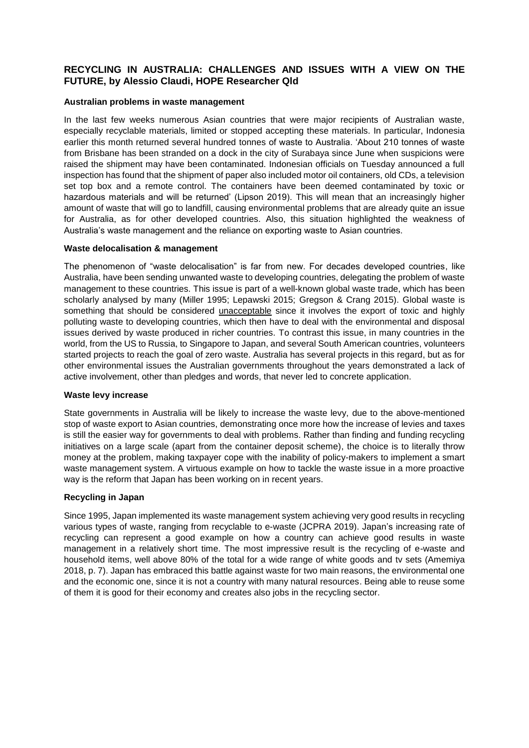# **RECYCLING IN AUSTRALIA: CHALLENGES AND ISSUES WITH A VIEW ON THE FUTURE, by Alessio Claudi, HOPE Researcher Qld**

### **Australian problems in waste management**

In the last few weeks numerous Asian countries that were major recipients of Australian waste, especially recyclable materials, limited or stopped accepting these materials. In particular, Indonesia earlier this month returned several hundred tonnes of waste to Australia. 'About 210 tonnes of waste from Brisbane has been stranded on a dock in the city of Surabaya since June when suspicions were raised the shipment may have been contaminated. Indonesian officials on Tuesday announced a full inspection has found that the shipment of paper also included motor oil containers, old CDs, a television set top box and a remote control. The containers have been deemed contaminated by toxic or hazardous materials and will be returned' (Lipson 2019). This will mean that an increasingly higher amount of waste that will go to landfill, causing environmental problems that are already quite an issue for Australia, as for other developed countries. Also, this situation highlighted the weakness of Australia's waste management and the reliance on exporting waste to Asian countries.

### **Waste delocalisation & management**

The phenomenon of "waste delocalisation" is far from new. For decades developed countries, like Australia, have been sending unwanted waste to developing countries, delegating the problem of waste management to these countries. This issue is part of a well-known global waste trade, which has been scholarly analysed by many (Miller 1995; Lepawski 2015; Gregson & Crang 2015). Global waste is something that should be considered unacceptable since it involves the export of toxic and highly polluting waste to developing countries, which then have to deal with the environmental and disposal issues derived by waste produced in richer countries. To contrast this issue, in many countries in the world, from the US to Russia, to Singapore to Japan, and several South American countries, volunteers started projects to reach the goal of zero waste. Australia has several projects in this regard, but as for other environmental issues the Australian governments throughout the years demonstrated a lack of active involvement, other than pledges and words, that never led to concrete application.

#### **Waste levy increase**

State governments in Australia will be likely to increase the waste levy, due to the above-mentioned stop of waste export to Asian countries, demonstrating once more how the increase of levies and taxes is still the easier way for governments to deal with problems. Rather than finding and funding recycling initiatives on a large scale (apart from the container deposit scheme), the choice is to literally throw money at the problem, making taxpayer cope with the inability of policy-makers to implement a smart waste management system. A virtuous example on how to tackle the waste issue in a more proactive way is the reform that Japan has been working on in recent years.

## **Recycling in Japan**

Since 1995, Japan implemented its waste management system achieving very good results in recycling various types of waste, ranging from recyclable to e-waste (JCPRA 2019). Japan's increasing rate of recycling can represent a good example on how a country can achieve good results in waste management in a relatively short time. The most impressive result is the recycling of e-waste and household items, well above 80% of the total for a wide range of white goods and tv sets (Amemiya 2018, p. 7). Japan has embraced this battle against waste for two main reasons, the environmental one and the economic one, since it is not a country with many natural resources. Being able to reuse some of them it is good for their economy and creates also jobs in the recycling sector.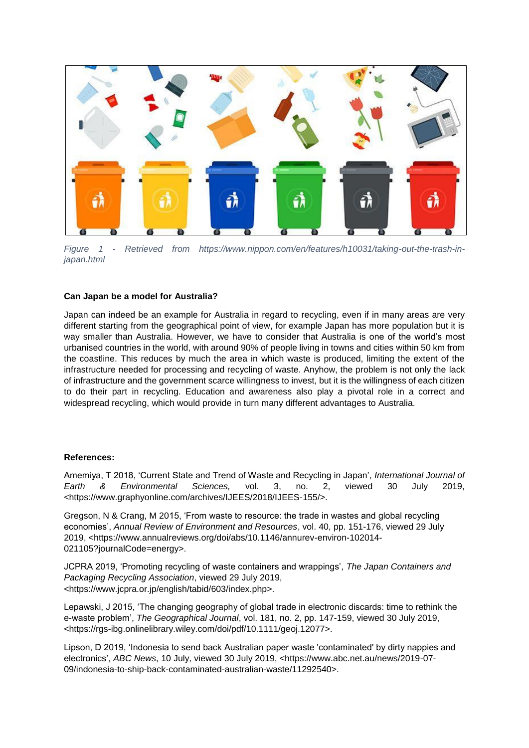

*Figure 1 - Retrieved from https://www.nippon.com/en/features/h10031/taking-out-the-trash-injapan.html*

## **Can Japan be a model for Australia?**

Japan can indeed be an example for Australia in regard to recycling, even if in many areas are very different starting from the geographical point of view, for example Japan has more population but it is way smaller than Australia. However, we have to consider that Australia is one of the world's most urbanised countries in the world, with around 90% of people living in towns and cities within 50 km from the coastline. This reduces by much the area in which waste is produced, limiting the extent of the infrastructure needed for processing and recycling of waste. Anyhow, the problem is not only the lack of infrastructure and the government scarce willingness to invest, but it is the willingness of each citizen to do their part in recycling. Education and awareness also play a pivotal role in a correct and widespread recycling, which would provide in turn many different advantages to Australia.

#### **References:**

Amemiya, T 2018, 'Current State and Trend of Waste and Recycling in Japan', *International Journal of Earth & Environmental Sciences,* vol. 3, no. 2, viewed 30 July 2019, <https://www.graphyonline.com/archives/IJEES/2018/IJEES-155/>.

Gregson, N & Crang, M 2015, 'From waste to resource: the trade in wastes and global recycling economies', *Annual Review of Environment and Resources*, vol. 40, pp. 151-176, viewed 29 July 2019, <https://www.annualreviews.org/doi/abs/10.1146/annurev-environ-102014- 021105?journalCode=energy>.

JCPRA 2019, 'Promoting recycling of waste containers and wrappings', *The Japan Containers and Packaging Recycling Association*, viewed 29 July 2019, <https://www.jcpra.or.jp/english/tabid/603/index.php>.

Lepawski, J 2015, 'The changing geography of global trade in electronic discards: time to rethink the e-waste problem', *The Geographical Journal*, vol. 181, no. 2, pp. 147-159, viewed 30 July 2019, <https://rgs-ibg.onlinelibrary.wiley.com/doi/pdf/10.1111/geoj.12077>.

Lipson, D 2019, 'Indonesia to send back Australian paper waste 'contaminated' by dirty nappies and electronics', *ABC News*, 10 July, viewed 30 July 2019, <https://www.abc.net.au/news/2019-07- 09/indonesia-to-ship-back-contaminated-australian-waste/11292540>.